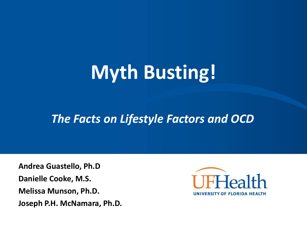# **Myth Busting!**

#### *The Facts on Lifestyle Factors and OCD*

**Andrea Guastello, Ph.D Danielle Cooke, M.S. Melissa Munson, Ph.D. Joseph P.H. McNamara, Ph.D.**

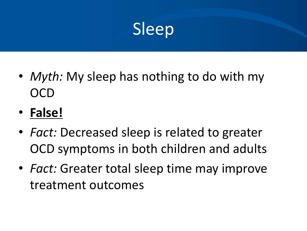

- *Myth:* My sleep has nothing to do with my **OCD**
- **False!**
- *Fact:* Decreased sleep is related to greater OCD symptoms in both children and adults
- *Fact:* Greater total sleep time may improve treatment outcomes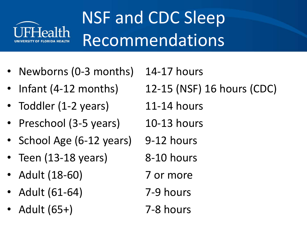

# NSF and CDC Sleep Recommendations

- Newborns (0-3 months) 14-17 hours
- 
- Toddler (1-2 years) 11-14 hours
- Preschool (3-5 years) 10-13 hours
- School Age (6-12 years) 9-12 hours
- Teen  $(13-18 \text{ years})$  8-10 hours
- Adult (18-60) 7 or more
- Adult (61-64) 7-9 hours
- Adult (65+) 7-8 hours

• Infant (4-12 months) 12-15 (NSF) 16 hours (CDC)

- 
- 
- 
- -
- 
-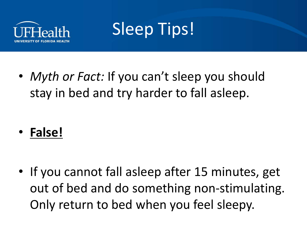

## Sleep Tips!

• *Myth or Fact:* If you can't sleep you should stay in bed and try harder to fall asleep.

• **False!**

• If you cannot fall asleep after 15 minutes, get out of bed and do something non-stimulating. Only return to bed when you feel sleepy.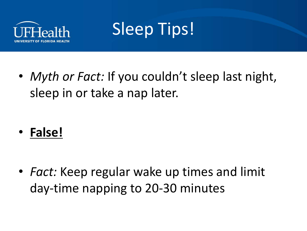

## Sleep Tips!

• *Myth or Fact:* If you couldn't sleep last night, sleep in or take a nap later.

• **False!**

• *Fact:* Keep regular wake up times and limit day-time napping to 20-30 minutes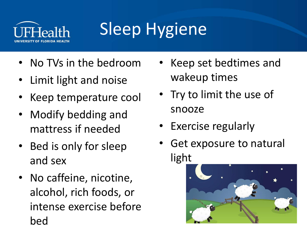

# Sleep Hygiene

- No TVs in the bedroom
- Limit light and noise
- Keep temperature cool
- Modify bedding and mattress if needed
- Bed is only for sleep and sex
- No caffeine, nicotine, alcohol, rich foods, or intense exercise before bed
- Keep set bedtimes and wakeup times
- Try to limit the use of snooze
- Exercise regularly
- Get exposure to natural light

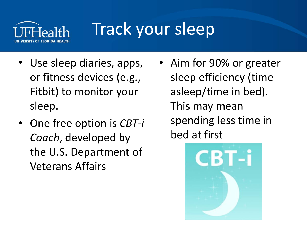

## Track your sleep

- Use sleep diaries, apps, or fitness devices (e.g., Fitbit) to monitor your sleep.
- One free option is *CBT-i Coach*, developed by the U.S. Department of Veterans Affairs
- Aim for 90% or greater sleep efficiency (time asleep/time in bed). This may mean spending less time in bed at first

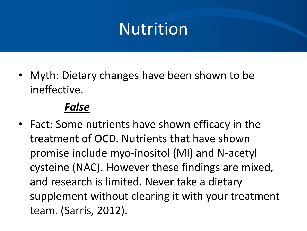• Myth: Dietary changes have been shown to be ineffective.

#### *False*

• Fact: Some nutrients have shown efficacy in the treatment of OCD. Nutrients that have shown promise include myo-inositol (MI) and N-acetyl cysteine (NAC). However these findings are mixed, and research is limited. Never take a dietary supplement without clearing it with your treatment team. (Sarris, 2012).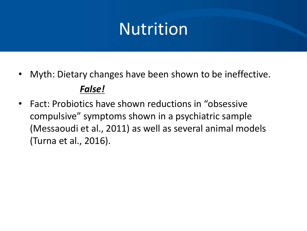- Myth: Dietary changes have been shown to be ineffective. *False!*
- Fact: Probiotics have shown reductions in "obsessive compulsive" symptoms shown in a psychiatric sample (Messaoudi et al., 2011) as well as several animal models (Turna et al., 2016).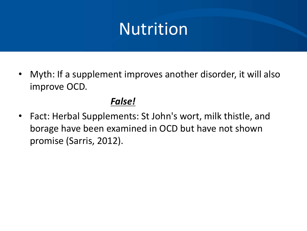• Myth: If a supplement improves another disorder, it will also improve OCD.

#### *False!*

• Fact: Herbal Supplements: St John's wort, milk thistle, and borage have been examined in OCD but have not shown promise (Sarris, 2012).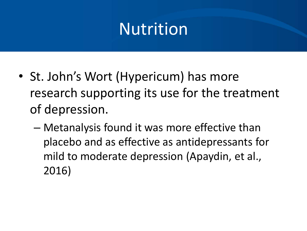- St. John's Wort (Hypericum) has more research supporting its use for the treatment of depression.
	- Metanalysis found it was more effective than placebo and as effective as antidepressants for mild to moderate depression (Apaydin, et al., 2016)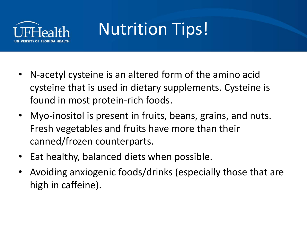

# Nutrition Tips!

- N-acetyl cysteine is an altered form of the amino acid cysteine that is used in dietary supplements. Cysteine is found in most protein-rich foods.
- Myo-inositol is present in fruits, beans, grains, and nuts. Fresh vegetables and fruits have more than their canned/frozen counterparts.
- Eat healthy, balanced diets when possible.
- Avoiding anxiogenic foods/drinks (especially those that are high in caffeine).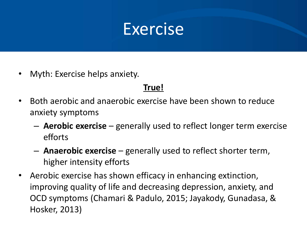• Myth: Exercise helps anxiety.

#### **True!**

- Both aerobic and anaerobic exercise have been shown to reduce anxiety symptoms
	- **Aerobic exercise**  generally used to reflect longer term exercise efforts
	- **Anaerobic exercise**  generally used to reflect shorter term, higher intensity efforts
- Aerobic exercise has shown efficacy in enhancing extinction, improving quality of life and decreasing depression, anxiety, and OCD symptoms (Chamari & Padulo, 2015; Jayakody, Gunadasa, & Hosker, 2013)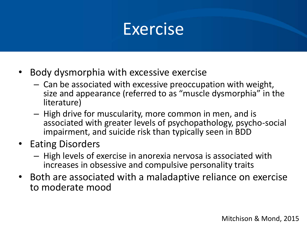- Body dysmorphia with excessive exercise
	- Can be associated with excessive preoccupation with weight, size and appearance (referred to as "muscle dysmorphia" in the literature)
	- High drive for muscularity, more common in men, and is associated with greater levels of psychopathology, psycho-social impairment, and suicide risk than typically seen in BDD
- Eating Disorders
	- High levels of exercise in anorexia nervosa is associated with increases in obsessive and compulsive personality traits
- Both are associated with a maladaptive reliance on exercise to moderate mood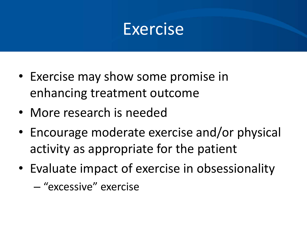- Exercise may show some promise in enhancing treatment outcome
- More research is needed
- Encourage moderate exercise and/or physical activity as appropriate for the patient
- Evaluate impact of exercise in obsessionality
	- "excessive" exercise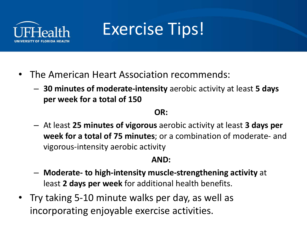

## Exercise Tips!

- The American Heart Association recommends:
	- **30 minutes of moderate-intensity** aerobic activity at least **5 days per week for a total of 150**

#### **OR:**

– At least **25 minutes of vigorous** aerobic activity at least **3 days per week for a total of 75 minutes**; or a combination of moderate- and vigorous-intensity aerobic activity

#### **AND:**

- **Moderate- to high-intensity muscle-strengthening activity** at least **2 days per week** for additional health benefits.
- Try taking 5-10 minute walks per day, as well as incorporating enjoyable exercise activities.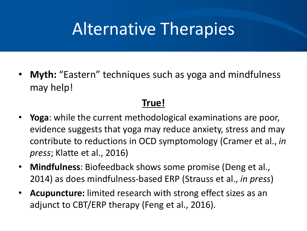## Alternative Therapies

• **Myth:** "Eastern" techniques such as yoga and mindfulness may help!

#### **True!**

- **Yoga**: while the current methodological examinations are poor, evidence suggests that yoga may reduce anxiety, stress and may contribute to reductions in OCD symptomology (Cramer et al., *in press*; Klatte et al., 2016)
- **Mindfulness**: Biofeedback shows some promise (Deng et al., 2014) as does mindfulness-based ERP (Strauss et al., *in press*)
- **Acupuncture:** limited research with strong effect sizes as an adjunct to CBT/ERP therapy (Feng et al., 2016).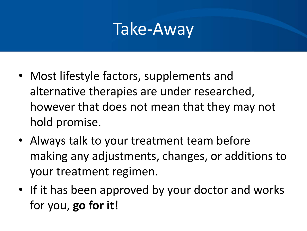- Most lifestyle factors, supplements and alternative therapies are under researched, however that does not mean that they may not hold promise.
- Always talk to your treatment team before making any adjustments, changes, or additions to your treatment regimen.
- If it has been approved by your doctor and works for you, **go for it!**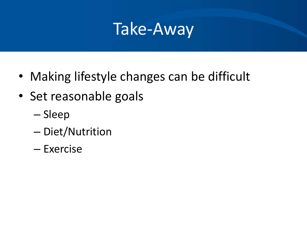- Making lifestyle changes can be difficult
- Set reasonable goals
	- Sleep
	- Diet/Nutrition
	- Exercise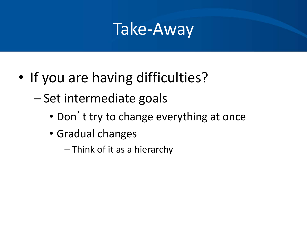- If you are having difficulties?
	- Set intermediate goals
		- Don't try to change everything at once
		- Gradual changes
			- Think of it as a hierarchy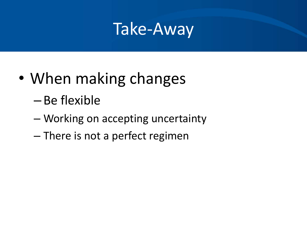- When making changes
	- Be flexible
	- Working on accepting uncertainty
	- There is not a perfect regimen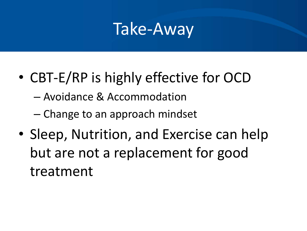- CBT-E/RP is highly effective for OCD
	- Avoidance & Accommodation
	- Change to an approach mindset
- Sleep, Nutrition, and Exercise can help but are not a replacement for good treatment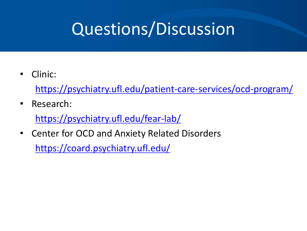## Questions/Discussion

• Clinic:

<https://psychiatry.ufl.edu/patient-care-services/ocd-program/>

• Research:

<https://psychiatry.ufl.edu/fear-lab/>

• Center for OCD and Anxiety Related Disorders <https://coard.psychiatry.ufl.edu/>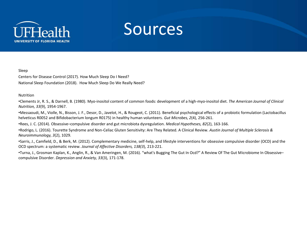



Sleep

Centers for Disease Control (2017). How Much Sleep Do I Need? National Sleep Foundation (2018). How Much Sleep Do We Really Need?

**Nutrition** 

•Clements Jr, R. S., & Darnell, B. (1980). Myo-inositol content of common foods: development of a high-myo-inositol diet. *The American Journal of Clinical Nutrition, 33*(9), 1954-1967.

•Messaoudi, M., Violle, N., Bisson, J. F., Desor, D., Javelot, H., & Rougeot, C. (2011). Beneficial psychological effects of a probiotic formulation (Lactobacillus helveticus R0052 and Bifidobacterium longum R0175) in healthy human volunteers. *Gut Microbes, 2*(4), 256-261.

•Rees, J. C. (2014). Obsessive–compulsive disorder and gut microbiota dysregulation. *Medical Hypotheses, 82*(2), 163-166.

•Rodrigo, L. (2016). Tourette Syndrome and Non-Celiac Gluten Sensitivity: Are They Related. A Clinical Review. *Austin Journal of Multiple Sclerosis & Neuroimmunology, 3*(2), 1029.

•Sarris, J., Camfield, D., & Berk, M. (2012). Complementary medicine, self-help, and lifestyle interventions for obsessive compulsive disorder (OCD) and the OCD spectrum: a systematic review. *Journal of Affective Disorders, 138(3*), 213-221.

•Turna, J., Grosman Kaplan, K., Anglin, R., & Van Ameringen, M. (2016). "what's Bugging The Gut In Ocd?" A Review Of The Gut Microbiome In Obsessive– compulsive Disorder. *Depression and Anxiety, 33*(3), 171-178.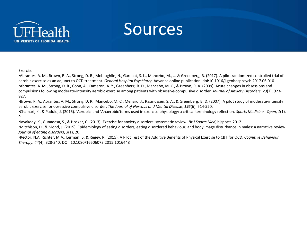



•Abrantes, A. M., Brown, R. A., Strong, D. R., McLaughlin, N., Garnaat, S. L., Mancebo, M., ... & Greenberg, B. (2017). A pilot randomized controlled trial of aerobic exercise as an adjunct to OCD treatment. *General Hospital Psychiatry*. Advance online publication. doi:10.1016/j.genhosppsych.2017.06.010 •Abrantes, A. M., Strong, D. R., Cohn, A., Cameron, A. Y., Greenberg, B. D., Mancebo, M. C., & Brown, R. A. (2009). Acute changes in obsessions and compulsions following moderate-intensity aerobic exercise among patients with obsessive-compulsive disorder. *Journal of Anxiety Disorders*, *23*(7), 923- 927.

•Brown, R. A., Abrantes, A. M., Strong, D. R., Mancebo, M. C., Menard, J., Rasmussen, S. A., & Greenberg, B. D. (2007). A pilot study of moderate-intensity aerobic exercise for obsessive compulsive disorder. *The Journal of Nervous and Mental Disease*, *195*(6), 514-520.

•Chamari, K., & Padulo, J. (2015). 'Aerobic' and 'Anaerobic'terms used in exercise physiology: a critical terminology reflection. *Sports Medicine - Open*, *1*(1), 9.

•Jayakody, K., Gunadasa, S., & Hosker, C. (2013). Exercise for anxiety disorders: systematic review. *Br J Sports Med*, bjsports-2012.

•Mitchison, D., & Mond, J. (2015). Epidemiology of eating disorders, eating disordered behaviour, and body image disturbance in males: a narrative review. *Journal of eating disorders*, *3*(1), 20.

•Rector, N.A. Richter, M.A., Lerman, B. & Regev, R. (2015). A Pilot Test of the Additive Benefits of Physical Exercise to CBT for OCD. *Cognitive Behaviour Therapy, 44*(4), 328-340, DOI: 10.1080/16506073.2015.1016448